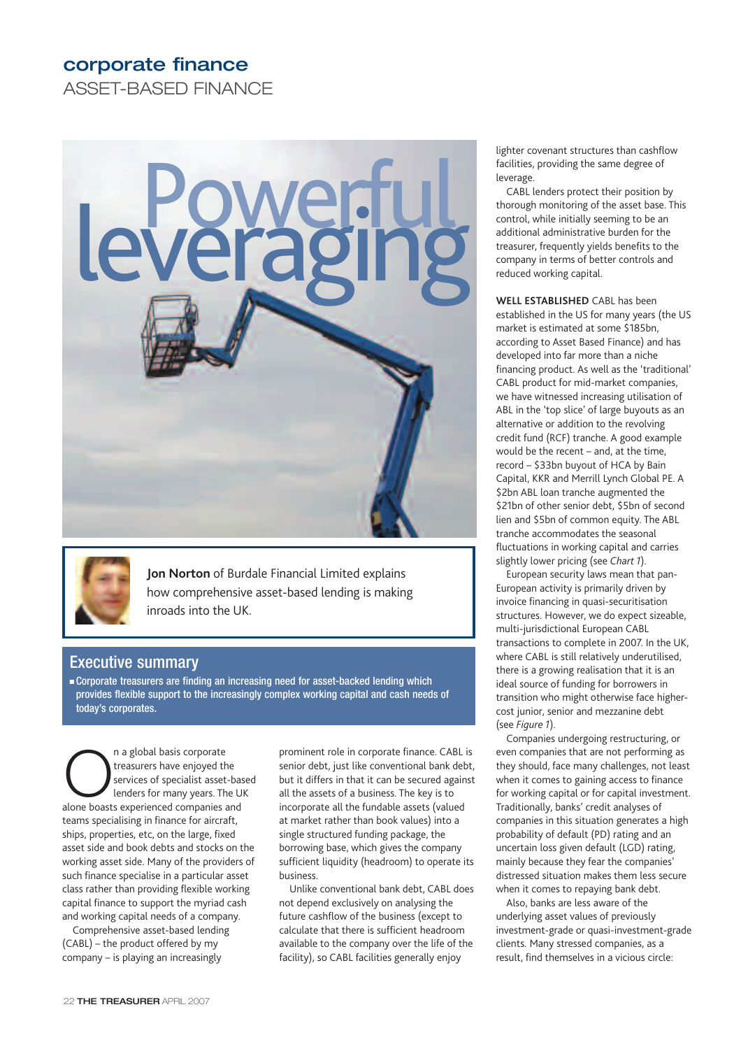# **corporate finance**

ASSET-BASED FINANCE





**Jon Norton** of Burdale Financial Limited explains how comprehensive asset-based lending is making inroads into the UK.

## Executive summary

■ Corporate treasurers are finding an increasing need for asset-backed lending which provides flexible support to the increasingly complex working capital and cash needs of today's corporates.

n a global basis corporate<br>
treasurers have enjoyed the<br>
services of specialist asset-ba<br>
lenders for many years. The L<br>
alone boasts experienced companies and treasurers have enjoyed the services of specialist asset-based lenders for many years. The UK teams specialising in finance for aircraft, ships, properties, etc, on the large, fixed asset side and book debts and stocks on the working asset side. Many of the providers of such finance specialise in a particular asset class rather than providing flexible working capital finance to support the myriad cash and working capital needs of a company.

Comprehensive asset-based lending (CABL) – the product offered by my company – is playing an increasingly

prominent role in corporate finance. CABL is senior debt, just like conventional bank debt, but it differs in that it can be secured against all the assets of a business. The key is to incorporate all the fundable assets (valued at market rather than book values) into a single structured funding package, the borrowing base, which gives the company sufficient liquidity (headroom) to operate its business.

Unlike conventional bank debt, CABL does not depend exclusively on analysing the future cashflow of the business (except to calculate that there is sufficient headroom available to the company over the life of the facility), so CABL facilities generally enjoy

lighter covenant structures than cashflow facilities, providing the same degree of leverage.

CABL lenders protect their position by thorough monitoring of the asset base. This control, while initially seeming to be an additional administrative burden for the treasurer, frequently yields benefits to the company in terms of better controls and reduced working capital.

**WELL ESTABLISHED** CABL has been established in the US for many years (the US market is estimated at some \$185bn, according to Asset Based Finance) and has developed into far more than a niche financing product. As well as the 'traditional' CABL product for mid-market companies, we have witnessed increasing utilisation of ABL in the 'top slice' of large buyouts as an alternative or addition to the revolving credit fund (RCF) tranche. A good example would be the recent – and, at the time, record – \$33bn buyout of HCA by Bain Capital, KKR and Merrill Lynch Global PE. A \$2bn ABL loan tranche augmented the \$21bn of other senior debt, \$5bn of second lien and \$5bn of common equity. The ABL tranche accommodates the seasonal fluctuations in working capital and carries slightly lower pricing (see *Chart 1*).

European security laws mean that pan-European activity is primarily driven by invoice financing in quasi-securitisation structures. However, we do expect sizeable, multi-jurisdictional European CABL transactions to complete in 2007. In the UK, where CABL is still relatively underutilised, there is a growing realisation that it is an ideal source of funding for borrowers in transition who might otherwise face highercost junior, senior and mezzanine debt (see *Figure 1*).

Companies undergoing restructuring, or even companies that are not performing as they should, face many challenges, not least when it comes to gaining access to finance for working capital or for capital investment. Traditionally, banks' credit analyses of companies in this situation generates a high probability of default (PD) rating and an uncertain loss given default (LGD) rating, mainly because they fear the companies' distressed situation makes them less secure when it comes to repaying bank debt.

Also, banks are less aware of the underlying asset values of previously investment-grade or quasi-investment-grade clients. Many stressed companies, as a result, find themselves in a vicious circle: